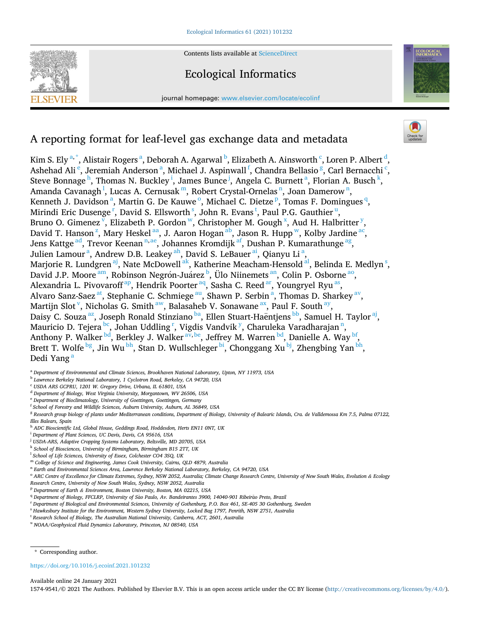

Contents lists available at [ScienceDirect](www.sciencedirect.com/science/journal/15749541)

# Ecological Informatics

journal homepage: [www.elsevier.com/locate/ecolinf](https://www.elsevier.com/locate/ecolinf)



# A reporting format for leaf-level gas exchange data and metadata

Kim S. Ely <sup>a, \*</sup>, Alistair Rogers <sup>a</sup>, Deborah A. Agarwal <sup>b</sup>, Elizabeth A. Ainsworth <sup>c</sup>, Loren P. Albert <sup>d</sup>, Ashehad Ali<sup>e</sup>, Jeremiah Anderson<sup>a</sup>, Michael J. Aspinwall<sup>f</sup>, Chandra Bellasio<sup>g</sup>, Carl Bernacchi<sup>c</sup>, Steve Bonnage<sup>h</sup>, Thomas N. Buckley<sup>i</sup>, James Bunce<sup>j</sup>, Angela C. Burnett<sup>a</sup>, Florian A. Busch<sup>k</sup>, Amanda Cavanagh<sup>1</sup>, Lucas A. Cernusak <sup>m</sup>, Robert Crystal-Ornelas <sup>n</sup>, Joan Damerow <sup>n</sup>, Kenneth J. Davidson<sup>a</sup>, Martin G. De Kauwe<sup>o</sup>, Michael C. Dietze<sup>p</sup>, Tomas F. Domingues<sup>q</sup>, Mirindi Eric Dusenge<sup>r</sup>, David S. Ellsworth<sup>s</sup>, John R. Evans<sup>t</sup>, Paul P.G. Gauthier<sup>u</sup>, Bruno O. Gimenez  $\bar{v}$ [, Elizabeth P. Gordon](#page-1-0)  $\bar{w}$ [,](#page-1-0) Christopher M. Gough  $\bar{x}$ [, Aud H. Halbritter](#page-1-0)  $\bar{y}$ , David T. Hanson<sup>z</sup>[, Mary Heskel](#page-1-0)<sup>aa</sup>, J. Aaron Hogan<sup>ab</sup>, Jason R. Hupp<sup>w</sup>, Kolby Jardine<sup>ac</sup>, Jens Kattge <sup>ad</sup>, Trevor Keenan <sup>n, ae</sup>, Johannes Kromdijk <sup>af</sup>, Dushan P. Kumarathunge <sup>ag</sup>, Julien Lamour<sup>a</sup>, Andrew D.B. Leakey <sup>ah</sup>, David S. LeBauer <sup>ai</sup>, Qianyu Li<sup>a</sup>, Marjorie R. Lundgren <sup>aj</sup>, Nate McDowell <sup>ak</sup>, Katherine Meacham-Hensold <sup>al</sup>, Belinda E. Medlyn <sup>s</sup>, David J.P. Moore <sup>am</sup>, Robinson Negrón-Juárez <sup>b</sup>, Ülo Niinemets <sup>an</sup>, Colin P. Osborne <sup>ao</sup>, Alexandria L. Pivovaroff<sup>ap</sup>, Hendrik Poorter<sup>aq</sup>, Sasha C. Reed<sup>ar</sup>, Youngryel Ryu<sup>as</sup>, Alvaro Sanz-Saez <sup>at</sup>, Stephanie C. Schmiege <sup>au</sup>, Shawn P. Serbin <sup>a</sup>, Thomas D. Sharkey <sup>av</sup>, Martijn Slot<sup>v</sup>[, Nicholas G. Smith](#page-1-0)<sup>aw</sup>, Balasaheb V. Sonawane<sup>ax</sup>, Paul F. South<sup>ay</sup>, Daisy C. Souza<sup>az</sup>, Joseph Ronald Stinziano<sup>ba</sup>, Ellen Stuart-Haëntjens [bb, Samuel H. Taylor](#page-1-0)<sup>aj</sup>, Mauricio D. Tejera <sup>bc</sup>, Johan Uddling <sup>r</sup>, Vigdis Vandvik <sup>y</sup>[, Charuleka Varadharajan](#page-1-0) <sup>n</sup>, Anthony P. Walker <sup>bd</sup>, Berkley J. Walker <sup>av, be</sup>, Jeffrey M. Warren <sup>bd</sup>, Danielle A. Way <sup>bf</sup>, Brett T. Wolfe  $^{\rm bg}$ , Jin Wu  $^{\rm bh}$ , Stan D. Wullschleger  $^{\rm bi}$ , Chonggang Xu  $^{\rm bj}$ , Zhengbing Yan  $^{\rm bh}$ , Dedi Yang<sup>a</sup>

<sup>a</sup> *Department of Environmental and Climate Sciences, Brookhaven National Laboratory, Upton, NY 11973, USA* 

- <sup>b</sup> *Lawrence Berkeley National Laboratory, 1 Cyclotron Road, Berkeley, CA 94720, USA*
- <sup>c</sup> *USDA ARS GCPRU, 1201 W. Gregory Drive, Urbana, IL 61801, USA*
- <sup>d</sup> *Department of Biology, West Virginia University, Morgantown, WV 26506, USA*
- <sup>e</sup> *Department of Bioclimatology, University of Goettingen, Goettingen, Germany*
- <sup>f</sup> *School of Forestry and Wildlife Sciences, Auburn University, Auburn, AL 36849, USA*

<sup>g</sup> *Research group biology of plants under Mediterranean conditions, Department of Biology, University of Balearic Islands, Cra. de Valldemossa Km 7.5, Palma 07122, Illes Balears, Spain* 

- <sup>h</sup> *ADC Bioscientific Ltd, Global House, Geddings Road, Hoddesdon, Herts EN11 0NT, UK*
- <sup>i</sup> *Department of Plant Sciences, UC Davis, Davis, CA 95616, USA*
- <sup>j</sup> *USDA-ARS, Adaptive Cropping Systems Laboratory, Beltsville, MD 20705, USA*
- <sup>k</sup> *School of Biosciences, University of Birmingham, Birmingham B15 2TT, UK*
- <sup>l</sup> *School of Life Sciences, University of Essex, Colchester CO4 3SQ, UK*
- <sup>m</sup> *College of Science and Engineering, James Cook University, Cairns, QLD 4879, Australia*
- <sup>n</sup> *Earth and Environmental Sciences Area, Lawrence Berkeley National Laboratory, Berkeley, CA 94720, USA*
- <sup>o</sup> ARC Centre of Excellence for Climate Extremes, Sydney, NSW 2052, Australia; Climate Change Research Centre, University of New South Wales, Evolution & Ecology

*Research Centre, University of New South Wales, Sydney, NSW 2052, Australia* 

- <sup>p</sup> *Department of Earth & Environment, Boston University, Boston, MA 02215, USA*
- <sup>q</sup> Department of Biology, FFCLRP, University of São Paulo, Av. Bandeirantes 3900, 14040-901 Ribeirão Preto, Brazil
- <sup>r</sup> *Department of Biological and Environmental Sciences, University of Gothenburg, P.O. Box 461, SE-405 30 Gothenburg, Sweden*
- <sup>s</sup> *Hawkesbury Institute for the Environment, Western Sydney University, Locked Bag 1797, Penrith, NSW 2751, Australia*
- <sup>t</sup> *Research School of Biology, The Australian National University, Canberra, ACT, 2601, Australia*

<sup>u</sup> *NOAA/Geophysical Fluid Dynamics Laboratory, Princeton, NJ 08540, USA* 

\* Corresponding author.

# <https://doi.org/10.1016/j.ecoinf.2021.101232>

Available online 24 January 2021

1574-9541/© 2021 The Authors. Published by Elsevier B.V. This is an open access article under the CC BY license [\(http://creativecommons.org/licenses/by/4.0/\)](http://creativecommons.org/licenses/by/4.0/).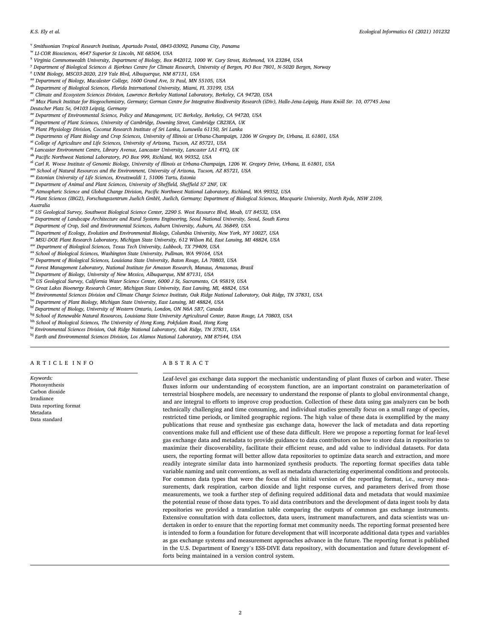<span id="page-1-0"></span><sup>v</sup> *Smithsonian Tropical Research Institute, Apartado Postal, 0843-03092, Panama City, Panama* 

- <sup>w</sup> *LI-COR Biosciences, 4647 Superior St Lincoln, NE 68504, USA*
- <sup>x</sup> *Virginia Commonwealth University, Department of Biology, Box 842012, 1000 W. Cary Street, Richmond, VA 23284, USA*
- <sup>y</sup> *Department of Biological Sciences & Bjerknes Centre for Climate Research, University of Bergen, PO Box 7801, N-5020 Bergen, Norway*
- <sup>z</sup> *UNM Biology, MSC03-2020, 219 Yale Blvd, Albuquerque, NM 87131, USA*
- aa *Department of Biology, Macalester College, 1600 Grand Ave, St Paul, MN 55105, USA*
- ab *Department of Biological Sciences, Florida International University, Miami, FL 33199, USA*
- ac *Climate and Ecosystem Sciences Division, Lawrence Berkeley National Laboratory, Berkeley, CA 94720, USA*
- <sup>ad</sup> Max Planck Institute for Biogeochemistry, Germany; German Centre for Integrative Biodiversity Research (iDiv), Halle-Jena-Leipzig, Hans Knöll Str. 10, 07745 Jena
- *Deutscher Platz 5e, 04103 Leipzig, Germany*
- ae *Department of Environmental Science, Policy and Management, UC Berkeley, Berkeley, CA 94720, USA*
- af *Department of Plant Sciences, University of Cambridge, Downing Street, Cambridge CB23EA, UK*
- ag *Plant Physiology Division, Coconut Research Institute of Sri Lanka, Lunuwila 61150, Sri Lanka*
- ah *Departments of Plant Biology and Crop Sciences, University of Illinois at Urbana-Champaign, 1206 W Gregory Dr, Urbana, IL 61801, USA*
- ai *College of Agriculture and Life Sciences, University of Arizona, Tucson, AZ 85721, USA*
- aj *Lancaster Environment Centre, Library Avenue, Lancaster University, Lancaster LA1 4YQ, UK*
- ak *Pacific Northwest National Laboratory, PO Box 999, Richland, WA 99352, USA*
- al *Carl R. Woese Institute of Genomic Biology, University of Illinois at Urbana-Champaign, 1206 W. Gregory Drive, Urbana, IL 61801, USA*
- am *School of Natural Resources and the Environment, University of Arizona, Tucson, AZ 85721, USA*
- an *Estonian University of Life Sciences, Kreutzwaldi 1, 51006 Tartu, Estonia*
- ao *Department of Animal and Plant Sciences, University of Sheffield, Sheffield S7 2NF, UK*
- ap *Atmospheric Science and Global Change Division, Pacific Northwest National Laboratory, Richland, WA 99352, USA*
- aq Plant Sciences (IBG2), Forschungszentrum Juelich GmbH, Juelich, Germany; Department of Biological Sciences, Macquarie University, North Ryde, NSW 2109,
- *Australia*
- ar *US Geological Survey, Southwest Biological Science Center, 2290 S. West Resource Blvd, Moab, UT 84532, USA*
- as *Department of Landscape Architecture and Rural Systems Engineering, Seoul National University, Seoul, South Korea*
- at *Department of Crop, Soil and Environmental Sciences, Auburn University, Auburn, AL 36849, USA*
- au *Department of Ecology, Evolution and Environmental Biology, Columbia University, New York, NY 10027, USA*
- av *MSU-DOE Plant Research Laboratory, Michigan State University, 612 Wilson Rd, East Lansing, MI 48824, USA*
- aw *Department of Biological Sciences, Texas Tech University, Lubbock, TX 79409, USA*
- ax *School of Biological Sciences, Washington State University, Pullman, WA 99164, USA*
- ay *Department of Biological Sciences, Louisiana State University, Baton Rouge, LA 70803, USA*
- az *Forest Management Laboratory, National Institute for Amazon Research, Manaus, Amazonas, Brazil*
- ba *Department of Biology, University of New Mexico, Albuquerque, NM 87131, USA*
- bb *US Geological Survey, California Water Science Center, 6000 J St, Sacramento, CA 95819, USA*
- bc *Great Lakes Bioenergy Research Center, Michigan State University, East Lansing, MI, 48824, USA*
- bd *Environmental Sciences Division and Climate Change Science Institute, Oak Ridge National Laboratory, Oak Ridge, TN 37831, USA*
- be *Department of Plant Biology, Michigan State University, East Lansing, MI 48824, USA*
- bf *Department of Biology, University of Western Ontario, London, ON N6A 5B7, Canada*
- bg *School of Renewable Natural Resources, Louisiana State University Agricultural Center, Baton Rouge, LA 70803, USA*
- bh *School of Biological Sciences, The University of Hong Kong, Pokfulam Road, Hong Kong*
- bi *Environmental Sciences Division, Oak Ridge National Laboratory, Oak Ridge, TN 37831, USA*
- bj *Earth and Environmental Sciences Division, Los Alamos National Laboratory, NM 87544, USA*

### ARTICLE INFO

*Keywords:*  Photosynthesis Carbon dioxide Irradiance Data reporting format Metadata Data standard

## ABSTRACT

Leaf-level gas exchange data support the mechanistic understanding of plant fluxes of carbon and water. These fluxes inform our understanding of ecosystem function, are an important constraint on parameterization of terrestrial biosphere models, are necessary to understand the response of plants to global environmental change, and are integral to efforts to improve crop production. Collection of these data using gas analyzers can be both technically challenging and time consuming, and individual studies generally focus on a small range of species, restricted time periods, or limited geographic regions. The high value of these data is exemplified by the many publications that reuse and synthesize gas exchange data, however the lack of metadata and data reporting conventions make full and efficient use of these data difficult. Here we propose a reporting format for leaf-level gas exchange data and metadata to provide guidance to data contributors on how to store data in repositories to maximize their discoverability, facilitate their efficient reuse, and add value to individual datasets. For data users, the reporting format will better allow data repositories to optimize data search and extraction, and more readily integrate similar data into harmonized synthesis products. The reporting format specifies data table variable naming and unit conventions, as well as metadata characterizing experimental conditions and protocols. For common data types that were the focus of this initial version of the reporting format, i.e., survey measurements, dark respiration, carbon dioxide and light response curves, and parameters derived from those measurements, we took a further step of defining required additional data and metadata that would maximize the potential reuse of those data types. To aid data contributors and the development of data ingest tools by data repositories we provided a translation table comparing the outputs of common gas exchange instruments. Extensive consultation with data collectors, data users, instrument manufacturers, and data scientists was undertaken in order to ensure that the reporting format met community needs. The reporting format presented here is intended to form a foundation for future development that will incorporate additional data types and variables as gas exchange systems and measurement approaches advance in the future. The reporting format is published in the U.S. Department of Energy's ESS-DIVE data repository, with documentation and future development efforts being maintained in a version control system.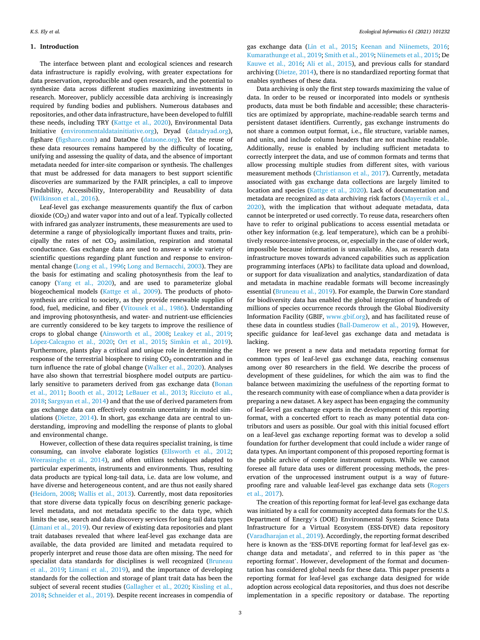## **1. Introduction**

The interface between plant and ecological sciences and research data infrastructure is rapidly evolving, with greater expectations for data preservation, reproducible and open research, and the potential to synthesize data across different studies maximizing investments in research. Moreover, publicly accessible data archiving is increasingly required by funding bodies and publishers. Numerous databases and repositories, and other data infrastructure, have been developed to fulfill these needs, including TRY ([Kattge et al., 2020\)](#page-8-0), Environmental Data Initiative [\(environmentaldatainitiative.org](http://environmentaldatainitiative.org)), Dryad ([datadryad.org](http://datadryad.org)), figshare [\(figshare.com](http://figshare.com)) and DataOne [\(dataone.org](http://dataone.org)). Yet the reuse of these data resources remains hampered by the difficulty of locating, unifying and assessing the quality of data, and the absence of important metadata needed for inter-site comparison or synthesis. The challenges that must be addressed for data managers to best support scientific discoveries are summarized by the FAIR principles, a call to improve Findability, Accessibility, Interoperability and Reusability of data ([Wilkinson et al., 2016\)](#page-9-0).

Leaf-level gas exchange measurements quantify the flux of carbon dioxide  $(CO<sub>2</sub>)$  and water vapor into and out of a leaf. Typically collected with infrared gas analyzer instruments, these measurements are used to determine a range of physiologically important fluxes and traits, principally the rates of net  $CO<sub>2</sub>$  assimilation, respiration and stomatal conductance. Gas exchange data are used to answer a wide variety of scientific questions regarding plant function and response to environmental change [\(Long et al., 1996; Long and Bernacchi, 2003](#page-8-0)). They are the basis for estimating and scaling photosynthesis from the leaf to canopy ([Yang et al., 2020\)](#page-9-0), and are used to parameterize global biogeochemical models ([Kattge et al., 2009](#page-8-0)). The products of photosynthesis are critical to society, as they provide renewable supplies of food, fuel, medicine, and fiber [\(Vitousek et al., 1986\)](#page-9-0). Understanding and improving photosynthesis, and water- and nutrient-use efficiencies are currently considered to be key targets to improve the resilience of crops to global change [\(Ainsworth et al., 2008;](#page-7-0) [Leakey et al., 2019](#page-8-0); López-Calcagno et al., 2020; [Ort et al., 2015](#page-8-0); [Simkin et al., 2019](#page-9-0)). Furthermore, plants play a critical and unique role in determining the response of the terrestrial biosphere to rising CO<sub>2</sub> concentration and in turn influence the rate of global change ([Walker et al., 2020](#page-9-0)). Analyses have also shown that terrestrial biosphere model outputs are particularly sensitive to parameters derived from gas exchange data (Bonan [et al., 2011;](#page-8-0) [Booth et al., 2012;](#page-8-0) [LeBauer et al., 2013](#page-8-0); [Ricciuto et al.,](#page-9-0)  [2018; Sargsyan et al., 2014\)](#page-9-0) and that the use of derived parameters from gas exchange data can effectively constrain uncertainty in model simulations ([Dietze, 2014\)](#page-8-0). In short, gas exchange data are central to understanding, improving and modelling the response of plants to global and environmental change.

However, collection of these data requires specialist training, is time consuming, can involve elaborate logistics ([Ellsworth et al., 2012](#page-8-0); [Weerasinghe et al., 2014](#page-9-0)), and often utilizes techniques adapted to particular experiments, instruments and environments. Thus, resulting data products are typical long-tail data, i.e. data are low volume, and have diverse and heterogeneous content, and are thus not easily shared ([Heidorn, 2008](#page-8-0); [Wallis et al., 2013](#page-9-0)). Currently, most data repositories that store diverse data typically focus on describing generic packagelevel metadata, and not metadata specific to the data type, which limits the use, search and data discovery services for long-tail data types ([Limani et al., 2019\)](#page-8-0). Our review of existing data repositories and plant trait databases revealed that where leaf-level gas exchange data are available, the data provided are limited and metadata required to properly interpret and reuse those data are often missing. The need for specialist data standards for disciplines is well recognized [\(Bruneau](#page-8-0)  [et al., 2019](#page-8-0); [Limani et al., 2019](#page-8-0)), and the importance of developing standards for the collection and storage of plant trait data has been the subject of several recent studies [\(Gallagher et al., 2020;](#page-8-0) [Kissling et al.,](#page-8-0)  [2018;](#page-8-0) [Schneider et al., 2019](#page-9-0)). Despite recent increases in compendia of gas exchange data ([Lin et al., 2015](#page-8-0); [Keenan and Niinemets, 2016](#page-8-0); [Kumarathunge et al., 2019](#page-8-0); [Smith et al., 2019](#page-9-0); [Niinemets et al., 2015](#page-8-0); De [Kauwe et al., 2016;](#page-8-0) [Ali et al., 2015\)](#page-7-0), and previous calls for standard archiving ([Dietze, 2014](#page-8-0)), there is no standardized reporting format that enables syntheses of these data.

Data archiving is only the first step towards maximizing the value of data. In order to be reused or incorporated into models or synthesis products, data must be both findable and accessible; these characteristics are optimized by appropriate, machine-readable search terms and persistent dataset identifiers. Currently, gas exchange instruments do not share a common output format, i.e., file structure, variable names, and units, and include column headers that are not machine readable. Additionally, reuse is enabled by including sufficient metadata to correctly interpret the data, and use of common formats and terms that allow processing multiple studies from different sites, with various measurement methods ([Christianson et al., 2017\)](#page-8-0). Currently, metadata associated with gas exchange data collections are largely limited to location and species ([Kattge et al., 2020\)](#page-8-0). Lack of documentation and metadata are recognized as data archiving risk factors [\(Mayernik et al.,](#page-8-0)  [2020\)](#page-8-0), with the implication that without adequate metadata, data cannot be interpreted or used correctly. To reuse data, researchers often have to refer to original publications to access essential metadata or other key information (e.g. leaf temperature), which can be a prohibitively resource-intensive process, or, especially in the case of older work, impossible because information is unavailable. Also, as research data infrastructure moves towards advanced capabilities such as application programming interfaces (APIs) to facilitate data upload and download, or support for data visualization and analytics, standardization of data and metadata in machine readable formats will become increasingly essential ([Bruneau et al., 2019\)](#page-8-0). For example, the Darwin Core standard for biodiversity data has enabled the global integration of hundreds of millions of species occurrence records through the Global Biodiversity Information Facility (GBIF, [www.gbif.org\)](http://www.gbif.org), and has facilitated reuse of these data in countless studies [\(Ball-Damerow et al., 2019\)](#page-7-0). However, specific guidance for leaf-level gas exchange data and metadata is lacking.

Here we present a new data and metadata reporting format for common types of leaf-level gas exchange data, reaching consensus among over 80 researchers in the field. We describe the process of development of these guidelines, for which the aim was to find the balance between maximizing the usefulness of the reporting format to the research community with ease of compliance when a data provider is preparing a new dataset. A key aspect has been engaging the community of leaf-level gas exchange experts in the development of this reporting format, with a concerted effort to reach as many potential data contributors and users as possible. Our goal with this initial focused effort on a leaf-level gas exchange reporting format was to develop a solid foundation for further development that could include a wider range of data types. An important component of this proposed reporting format is the public archive of complete instrument outputs. While we cannot foresee all future data uses or different processing methods, the preservation of the unprocessed instrument output is a way of futureproofing rare and valuable leaf-level gas exchange data sets ([Rogers](#page-9-0)  [et al., 2017\)](#page-9-0).

The creation of this reporting format for leaf-level gas exchange data was initiated by a call for community accepted data formats for the U.S. Department of Energy's (DOE) Environmental Systems Science Data Infrastructure for a Virtual Ecosystem (ESS-DIVE) data repository ([Varadharajan et al., 2019\)](#page-9-0). Accordingly, the reporting format described here is known as the 'ESS-DIVE reporting format for leaf-level gas exchange data and metadata', and referred to in this paper as 'the reporting format'. However, development of the format and documentation has considered global needs for these data. This paper presents a reporting format for leaf-level gas exchange data designed for wide adoption across ecological data repositories, and thus does not describe implementation in a specific repository or database. The reporting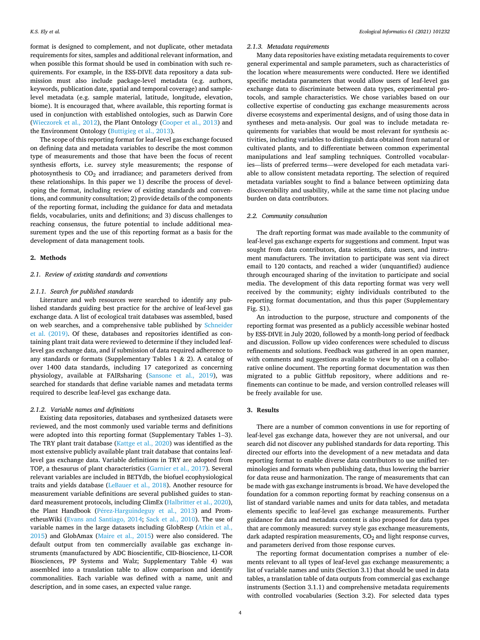format is designed to complement, and not duplicate, other metadata requirements for sites, samples and additional relevant information, and when possible this format should be used in combination with such requirements. For example, in the ESS-DIVE data repository a data submission must also include package-level metadata (e.g. authors, keywords, publication date, spatial and temporal coverage) and samplelevel metadata (e.g. sample material, latitude, longitude, elevation, biome). It is encouraged that, where available, this reporting format is used in conjunction with established ontologies, such as Darwin Core ([Wieczorek et al., 2012\)](#page-9-0), the Plant Ontology [\(Cooper et al., 2013\)](#page-8-0) and the Environment Ontology [\(Buttigieg et al., 2013\)](#page-8-0).

The scope of this reporting format for leaf-level gas exchange focused on defining data and metadata variables to describe the most common type of measurements and those that have been the focus of recent synthesis efforts, i.e. survey style measurements; the response of photosynthesis to CO<sub>2</sub> and irradiance; and parameters derived from these relationships. In this paper we 1) describe the process of developing the format, including review of existing standards and conventions, and community consultation; 2) provide details of the components of the reporting format, including the guidance for data and metadata fields, vocabularies, units and definitions; and 3) discuss challenges to reaching consensus, the future potential to include additional measurement types and the use of this reporting format as a basis for the development of data management tools.

## **2. Methods**

#### *2.1. Review of existing standards and conventions*

#### *2.1.1. Search for published standards*

Literature and web resources were searched to identify any published standards guiding best practice for the archive of leaf-level gas exchange data. A list of ecological trait databases was assembled, based on web searches, and a comprehensive table published by [Schneider](#page-9-0)  [et al. \(2019\)](#page-9-0). Of these, databases and repositories identified as containing plant trait data were reviewed to determine if they included leaflevel gas exchange data, and if submission of data required adherence to any standards or formats (Supplementary Tables 1 & 2). A catalog of over 1400 data standards, including 17 categorized as concerning physiology, available at FAIRsharing ([Sansone et al., 2019\)](#page-9-0), was searched for standards that define variable names and metadata terms required to describe leaf-level gas exchange data.

# *2.1.2. Variable names and definitions*

Existing data repositories, databases and synthesized datasets were reviewed, and the most commonly used variable terms and definitions were adopted into this reporting format (Supplementary Tables 1–3). The TRY plant trait database ([Kattge et al., 2020](#page-8-0)) was identified as the most extensive publicly available plant trait database that contains leaflevel gas exchange data. Variable definitions in TRY are adopted from TOP, a thesaurus of plant characteristics ([Garnier et al., 2017](#page-8-0)). Several relevant variables are included in BETYdb, the biofuel ecophysiological traits and yields database [\(LeBauer et al., 2018\)](#page-8-0). Another resource for measurement variable definitions are several published guides to standard measurement protocols, including ClimEx [\(Halbritter et al., 2020](#page-8-0)), the Plant Handbook (Pérez-Harguindeguy et al., 2013) and PrometheusWiki ([Evans and Santiago, 2014](#page-8-0); [Sack et al., 2010](#page-9-0)). The use of variable names in the large datasets including GlobResp ([Atkin et al.,](#page-7-0)  [2015\)](#page-7-0) and GlobAmax ([Maire et al., 2015\)](#page-8-0) were also considered. The default output from ten commercially available gas exchange instruments (manufactured by ADC Bioscientific, CID-Bioscience, LI-COR Biosciences, PP Systems and Walz; Supplementary Table 4) was assembled into a translation table to allow comparison and identify commonalities. Each variable was defined with a name, unit and description, and in some cases, an expected value range.

#### *2.1.3. Metadata requirements*

Many data repositories have existing metadata requirements to cover general experimental and sample parameters, such as characteristics of the location where measurements were conducted. Here we identified specific metadata parameters that would allow users of leaf-level gas exchange data to discriminate between data types, experimental protocols, and sample characteristics. We chose variables based on our collective expertise of conducting gas exchange measurements across diverse ecosystems and experimental designs, and of using those data in syntheses and meta-analysis. Our goal was to include metadata requirements for variables that would be most relevant for synthesis activities, including variables to distinguish data obtained from natural or cultivated plants, and to differentiate between common experimental manipulations and leaf sampling techniques. Controlled vocabularies—lists of preferred terms—were developed for each metadata variable to allow consistent metadata reporting. The selection of required metadata variables sought to find a balance between optimizing data discoverability and usability, while at the same time not placing undue burden on data contributors.

# *2.2. Community consultation*

The draft reporting format was made available to the community of leaf-level gas exchange experts for suggestions and comment. Input was sought from data contributors, data scientists, data users, and instrument manufacturers. The invitation to participate was sent via direct email to 120 contacts, and reached a wider (unquantified) audience through encouraged sharing of the invitation to participate and social media. The development of this data reporting format was very well received by the community; eighty individuals contributed to the reporting format documentation, and thus this paper (Supplementary Fig. S1).

An introduction to the purpose, structure and components of the reporting format was presented as a publicly accessible webinar hosted by ESS-DIVE in July 2020, followed by a month-long period of feedback and discussion. Follow up video conferences were scheduled to discuss refinements and solutions. Feedback was gathered in an open manner, with comments and suggestions available to view by all on a collaborative online document. The reporting format documentation was then migrated to a public GitHub repository, where additions and refinements can continue to be made, and version controlled releases will be freely available for use.

# **3. Results**

There are a number of common conventions in use for reporting of leaf-level gas exchange data, however they are not universal, and our search did not discover any published standards for data reporting. This directed our efforts into the development of a new metadata and data reporting format to enable diverse data contributors to use unified terminologies and formats when publishing data, thus lowering the barrier for data reuse and harmonization. The range of measurements that can be made with gas exchange instruments is broad. We have developed the foundation for a common reporting format by reaching consensus on a list of standard variable names and units for data tables, and metadata elements specific to leaf-level gas exchange measurements. Further guidance for data and metadata content is also proposed for data types that are commonly measured: survey style gas exchange measurements, dark adapted respiration measurements,  $CO<sub>2</sub>$  and light response curves, and parameters derived from those response curves.

The reporting format documentation comprises a number of elements relevant to all types of leaf-level gas exchange measurements; a list of variable names and units (Section 3.1) that should be used in data tables, a translation table of data outputs from commercial gas exchange instruments (Section 3.1.1) and comprehensive metadata requirements with controlled vocabularies (Section 3.2). For selected data types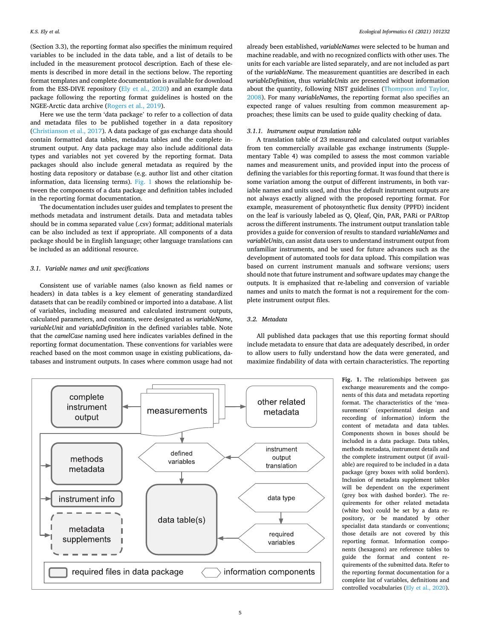<span id="page-4-0"></span>(Section 3.3), the reporting format also specifies the minimum required variables to be included in the data table, and a list of details to be included in the measurement protocol description. Each of these elements is described in more detail in the sections below. The reporting format templates and complete documentation is available for download from the ESS-DIVE repository ([Ely et al., 2020\)](#page-8-0) and an example data package following the reporting format guidelines is hosted on the NGEE-Arctic data archive [\(Rogers et al., 2019\)](#page-9-0).

Here we use the term 'data package' to refer to a collection of data and metadata files to be published together in a data repository ([Christianson et al., 2017\)](#page-8-0). A data package of gas exchange data should contain formatted data tables, metadata tables and the complete instrument output. Any data package may also include additional data types and variables not yet covered by the reporting format. Data packages should also include general metadata as required by the hosting data repository or database (e.g. author list and other citation information, data licensing terms). Fig. 1 shows the relationship between the components of a data package and definition tables included in the reporting format documentation.

The documentation includes user guides and templates to present the methods metadata and instrument details. Data and metadata tables should be in comma separated value (.csv) format; additional materials can be also included as text if appropriate. All components of a data package should be in English language; other language translations can be included as an additional resource.

# *3.1. Variable names and unit specifications*

Consistent use of variable names (also known as field names or headers) in data tables is a key element of generating standardized datasets that can be readily combined or imported into a database. A list of variables, including measured and calculated instrument outputs, calculated parameters, and constants, were designated as *variableName*, *variableUnit* and *variableDefinition* in the defined variables table*.* Note that the *camelCase* naming used here indicates variables defined in the reporting format documentation. These conventions for variables were reached based on the most common usage in existing publications, databases and instrument outputs. In cases where common usage had not already been established, *variableNames* were selected to be human and machine readable, and with no recognized conflicts with other uses. The units for each variable are listed separately, and are not included as part of the *variableName*. The measurement quantities are described in each *variableDefinition*, thus *variableUnits* are presented without information about the quantity, following NIST guidelines ([Thompson and Taylor,](#page-9-0)  [2008\)](#page-9-0). For many *variableNames*, the reporting format also specifies an expected range of values resulting from common measurement approaches; these limits can be used to guide quality checking of data.

# *3.1.1. Instrument output translation table*

A translation table of 23 measured and calculated output variables from ten commercially available gas exchange instruments (Supplementary Table 4) was compiled to assess the most common variable names and measurement units, and provided input into the process of defining the variables for this reporting format. It was found that there is some variation among the output of different instruments, in both variable names and units used, and thus the default instrument outputs are not always exactly aligned with the proposed reporting format. For example, measurement of photosynthetic flux density (PPFD) incident on the leaf is variously labeled as Q, Qleaf, Qin, PAR, PARi or PARtop across the different instruments. The instrument output translation table provides a guide for conversion of results to standard *variableNames* and *variableUnits*, can assist data users to understand instrument output from unfamiliar instruments, and be used for future advances such as the development of automated tools for data upload. This compilation was based on current instrument manuals and software versions; users should note that future instrument and software updates may change the outputs. It is emphasized that re-labeling and conversion of variable names and units to match the format is not a requirement for the complete instrument output files.

# *3.2. Metadata*

All published data packages that use this reporting format should include metadata to ensure that data are adequately described, in order to allow users to fully understand how the data were generated, and maximize findability of data with certain characteristics. The reporting



**Fig. 1.** The relationships between gas exchange measurements and the components of this data and metadata reporting format. The characteristics of the 'measurements' (experimental design and recording of information) inform the content of metadata and data tables. Components shown in boxes should be included in a data package. Data tables, methods metadata, instrument details and the complete instrument output (if available) are required to be included in a data package (grey boxes with solid borders). Inclusion of metadata supplement tables will be dependent on the experiment (grey box with dashed border). The requirements for other related metadata (white box) could be set by a data repository, or be mandated by other specialist data standards or conventions; those details are not covered by this reporting format. Information components (hexagons) are reference tables to guide the format and content requirements of the submitted data. Refer to the reporting format documentation for a complete list of variables, definitions and controlled vocabularies [\(Ely et al., 2020\)](#page-8-0).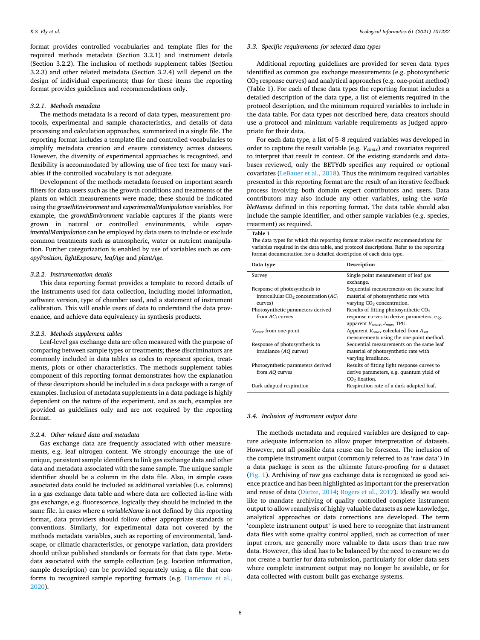format provides controlled vocabularies and template files for the required methods metadata (Section 3.2.1) and instrument details (Section 3.2.2). The inclusion of methods supplement tables (Section 3.2.3) and other related metadata (Section 3.2.4) will depend on the design of individual experiments; thus for these items the reporting format provides guidelines and recommendations only.

### *3.2.1. Methods metadata*

The methods metadata is a record of data types, measurement protocols, experimental and sample characteristics, and details of data processing and calculation approaches, summarized in a single file. The reporting format includes a template file and controlled vocabularies to simplify metadata creation and ensure consistency across datasets. However, the diversity of experimental approaches is recognized, and flexibility is accommodated by allowing use of free text for many variables if the controlled vocabulary is not adequate.

Development of the methods metadata focused on important search filters for data users such as the growth conditions and treatments of the plants on which measurements were made; these should be indicated using the *growthEnvironment* and *experimentalManipulation* variables. For example, the *growthEnvironment* variable captures if the plants were grown in natural or controlled environments, while *experimentalManipulation* can be employed by data users to include or exclude common treatments such as atmospheric, water or nutrient manipulation. Further categorization is enabled by use of variables such as *canopyPosition*, *lightExposure*, *leafAge* and *plantAge*.

#### *3.2.2. Instrumentation details*

This data reporting format provides a template to record details of the instruments used for data collection, including model information, software version, type of chamber used, and a statement of instrument calibration. This will enable users of data to understand the data provenance, and achieve data equivalency in synthesis products.

#### *3.2.3. Methods supplement tables*

Leaf-level gas exchange data are often measured with the purpose of comparing between sample types or treatments; these discriminators are commonly included in data tables as codes to represent species, treatments, plots or other characteristics. The methods supplement tables component of this reporting format demonstrates how the explanation of these descriptors should be included in a data package with a range of examples. Inclusion of metadata supplements in a data package is highly dependent on the nature of the experiment, and as such, examples are provided as guidelines only and are not required by the reporting format.

## *3.2.4. Other related data and metadata*

Gas exchange data are frequently associated with other measurements, e.g. leaf nitrogen content. We strongly encourage the use of unique, persistent sample identifiers to link gas exchange data and other data and metadata associated with the same sample. The unique sample identifier should be a column in the data file. Also, in simple cases associated data could be included as additional variables (i.e. columns) in a gas exchange data table and where data are collected in-line with gas exchange, e.g. fluorescence, logically they should be included in the same file. In cases where a *variableName* is not defined by this reporting format, data providers should follow other appropriate standards or conventions. Similarly, for experimental data not covered by the methods metadata variables, such as reporting of environmental, landscape, or climatic characteristics, or genotype variation, data providers should utilize published standards or formats for that data type. Metadata associated with the sample collection (e.g. location information, sample description) can be provided separately using a file that conforms to recognized sample reporting formats (e.g. [Damerow et al.,](#page-8-0)  [2020\)](#page-8-0).

# *3.3. Specific requirements for selected data types*

Additional reporting guidelines are provided for seven data types identified as common gas exchange measurements (e.g. photosynthetic CO2 response curves) and analytical approaches (e.g. one-point method) (Table 1). For each of these data types the reporting format includes a detailed description of the data type, a list of elements required in the protocol description, and the minimum required variables to include in the data table. For data types not described here, data creators should use a protocol and minimum variable requirements as judged appropriate for their data.

For each data type, a list of 5–8 required variables was developed in order to capture the result variable (e.g. *Vcmax*) and covariates required to interpret that result in context. Of the existing standards and databases reviewed, only the BETYdb specifies any required or optional covariates [\(LeBauer et al., 2018\)](#page-8-0). Thus the minimum required variables presented in this reporting format are the result of an iterative feedback process involving both domain expert contributors and users. Data contributors may also include any other variables, using the *variableNames* defined in this reporting format. The data table should also include the sample identifier, and other sample variables (e.g. species, treatment) as required.

## **Table 1**

The data types for which this reporting format makes specific recommendations for variables required in the data table, and protocol descriptions. Refer to the reporting format documentation for a detailed description of each data type.

| Data type                                                                                      | Description                                                                                                                     |
|------------------------------------------------------------------------------------------------|---------------------------------------------------------------------------------------------------------------------------------|
| Survey                                                                                         | Single point measurement of leaf gas<br>exchange.                                                                               |
| Response of photosynthesis to<br>intercellular $CO2$ concentration (AC <sub>i</sub><br>curves) | Sequential measurements on the same leaf<br>material of photosynthetic rate with<br>varying CO <sub>2</sub> concentration.      |
| Photosynthetic parameters derived<br>from $AC_i$ curves                                        | Results of fitting photosynthetic $CO2$<br>response curves to derive parameters, e.g.<br>apparent $V_{cmax}$ , $J_{max}$ , TPU. |
| $V_{cmax}$ from one-point                                                                      | Apparent $V_{cmax}$ calculated from $A_{sat}$<br>measurements using the one-point method.                                       |
| Response of photosynthesis to<br>irradiance (AQ curves)                                        | Sequential measurements on the same leaf<br>material of photosynthetic rate with<br>varying irradiance.                         |
| Photosynthetic parameters derived<br>from AQ curves                                            | Results of fitting light response curves to<br>derive parameters, e.g. quantum yield of<br>CO <sub>2</sub> fixation.            |
| Dark adapted respiration                                                                       | Respiration rate of a dark adapted leaf.                                                                                        |

## *3.4. Inclusion of instrument output data*

The methods metadata and required variables are designed to capture adequate information to allow proper interpretation of datasets. However, not all possible data reuse can be foreseen. The inclusion of the complete instrument output (commonly referred to as 'raw data') in a data package is seen as the ultimate future-proofing for a dataset ([Fig. 1\)](#page-4-0). Archiving of raw gas exchange data is recognized as good science practice and has been highlighted as important for the preservation and reuse of data [\(Dietze, 2014;](#page-8-0) [Rogers et al., 2017](#page-9-0)). Ideally we would like to mandate archiving of quality controlled complete instrument output to allow reanalysis of highly valuable datasets as new knowledge, analytical approaches or data corrections are developed. The term 'complete instrument output' is used here to recognize that instrument data files with some quality control applied, such as correction of user input errors, are generally more valuable to data users than true raw data. However, this ideal has to be balanced by the need to ensure we do not create a barrier for data submission, particularly for older data sets where complete instrument output may no longer be available, or for data collected with custom built gas exchange systems.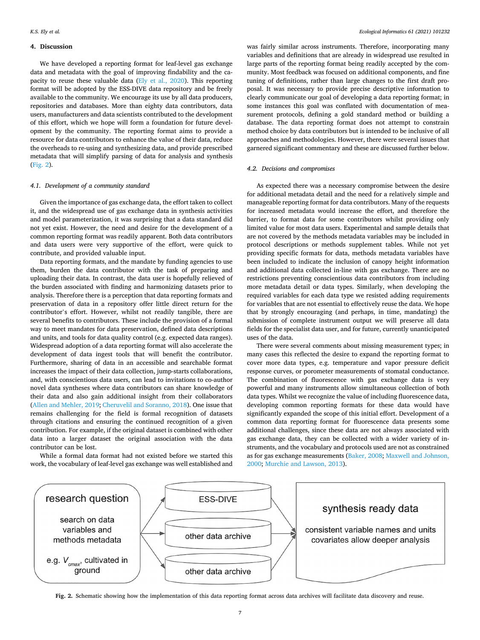# **4. Discussion**

We have developed a reporting format for leaf-level gas exchange data and metadata with the goal of improving findability and the capacity to reuse these valuable data ([Ely et al., 2020\)](#page-8-0). This reporting format will be adopted by the ESS-DIVE data repository and be freely available to the community. We encourage its use by all data producers, repositories and databases. More than eighty data contributors, data users, manufacturers and data scientists contributed to the development of this effort, which we hope will form a foundation for future development by the community. The reporting format aims to provide a resource for data contributors to enhance the value of their data, reduce the overheads to re-using and synthesizing data, and provide prescribed metadata that will simplify parsing of data for analysis and synthesis (Fig. 2).

# *4.1. Development of a community standard*

Given the importance of gas exchange data, the effort taken to collect it, and the widespread use of gas exchange data in synthesis activities and model parameterization, it was surprising that a data standard did not yet exist. However, the need and desire for the development of a common reporting format was readily apparent. Both data contributors and data users were very supportive of the effort, were quick to contribute, and provided valuable input.

Data reporting formats, and the mandate by funding agencies to use them, burden the data contributor with the task of preparing and uploading their data. In contrast, the data user is hopefully relieved of the burden associated with finding and harmonizing datasets prior to analysis. Therefore there is a perception that data reporting formats and preservation of data in a repository offer little direct return for the contributor's effort. However, whilst not readily tangible, there are several benefits to contributors. These include the provision of a formal way to meet mandates for data preservation, defined data descriptions and units, and tools for data quality control (e.g. expected data ranges). Widespread adoption of a data reporting format will also accelerate the development of data ingest tools that will benefit the contributor. Furthermore, sharing of data in an accessible and searchable format increases the impact of their data collection, jump-starts collaborations, and, with conscientious data users, can lead to invitations to co-author novel data syntheses where data contributors can share knowledge of their data and also gain additional insight from their collaborators ([Allen and Mehler, 2019](#page-7-0); [Cheruvelil and Soranno, 2018](#page-8-0)). One issue that remains challenging for the field is formal recognition of datasets through citations and ensuring the continued recognition of a given contribution. For example, if the original dataset is combined with other data into a larger dataset the original association with the data contributor can be lost.

While a formal data format had not existed before we started this work, the vocabulary of leaf-level gas exchange was well established and

was fairly similar across instruments. Therefore, incorporating many variables and definitions that are already in widespread use resulted in large parts of the reporting format being readily accepted by the community. Most feedback was focused on additional components, and fine tuning of definitions, rather than large changes to the first draft proposal. It was necessary to provide precise descriptive information to clearly communicate our goal of developing a data reporting format; in some instances this goal was conflated with documentation of measurement protocols, defining a gold standard method or building a database. The data reporting format does not attempt to constrain method choice by data contributors but is intended to be inclusive of all approaches and methodologies. However, there were several issues that garnered significant commentary and these are discussed further below.

## *4.2. Decisions and compromises*

As expected there was a necessary compromise between the desire for additional metadata detail and the need for a relatively simple and manageable reporting format for data contributors. Many of the requests for increased metadata would increase the effort, and therefore the barrier, to format data for some contributors whilst providing only limited value for most data users. Experimental and sample details that are not covered by the methods metadata variables may be included in protocol descriptions or methods supplement tables. While not yet providing specific formats for data, methods metadata variables have been included to indicate the inclusion of canopy height information and additional data collected in-line with gas exchange. There are no restrictions preventing conscientious data contributors from including more metadata detail or data types. Similarly, when developing the required variables for each data type we resisted adding requirements for variables that are not essential to effectively reuse the data. We hope that by strongly encouraging (and perhaps, in time, mandating) the submission of complete instrument output we will preserve all data fields for the specialist data user, and for future, currently unanticipated uses of the data.

There were several comments about missing measurement types; in many cases this reflected the desire to expand the reporting format to cover more data types, e.g. temperature and vapor pressure deficit response curves, or porometer measurements of stomatal conductance. The combination of fluorescence with gas exchange data is very powerful and many instruments allow simultaneous collection of both data types. Whilst we recognize the value of including fluorescence data, developing common reporting formats for these data would have significantly expanded the scope of this initial effort. Development of a common data reporting format for fluorescence data presents some additional challenges, since these data are not always associated with gas exchange data, they can be collected with a wider variety of instruments, and the vocabulary and protocols used are not as constrained as for gas exchange measurements [\(Baker, 2008;](#page-7-0) [Maxwell and Johnson,](#page-8-0)  [2000; Murchie and Lawson, 2013](#page-8-0)).



**Fig. 2.** Schematic showing how the implementation of this data reporting format across data archives will facilitate data discovery and reuse.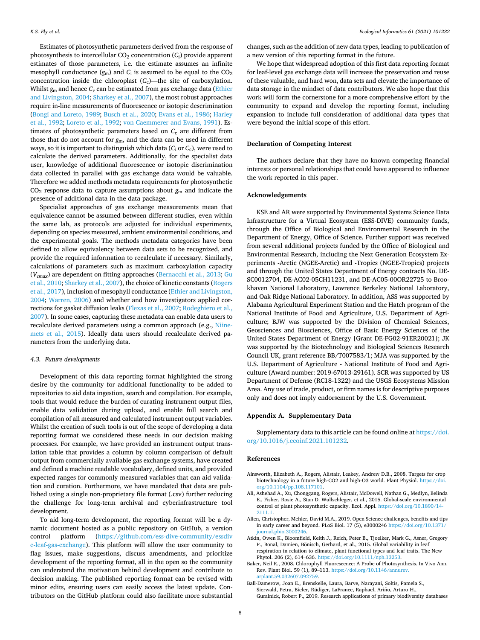<span id="page-7-0"></span>Estimates of photosynthetic parameters derived from the response of photosynthesis to intercellular  $CO_2$  concentration  $(C_i)$  provide apparent estimates of those parameters, i.e. the estimate assumes an infinite mesophyll conductance  $(g_m)$  and  $C_i$  is assumed to be equal to the  $CO_2$ concentration inside the chloroplast (*C<sub>c</sub>*)—the site of carboxylation. Whilst  $g_m$  and hence  $C_c$  can be estimated from gas exchange data (Ethier [and Livingston, 2004;](#page-8-0) [Sharkey et al., 2007](#page-9-0)), the most robust approaches require in-line measurements of fluorescence or isotopic descrimination ([Bongi and Loreto, 1989](#page-8-0); [Busch et al., 2020](#page-8-0); [Evans et al., 1986](#page-8-0); [Harley](#page-8-0)  [et al., 1992](#page-8-0); [Loreto et al., 1992](#page-8-0); [von Caemmerer and Evans, 1991\)](#page-9-0). Estimates of photosynthetic parameters based on  $C_c$  are different from those that do not account for *g*m, and the data can be used in different ways, so it is important to distinguish which data ( $C_i$  or  $C_c$ ), were used to calculate the derived parameters. Additionally, for the specialist data user, knowledge of additional fluorescence or isotopic discrimination data collected in parallel with gas exchange data would be valuable. Therefore we added methods metadata requirements for photosynthetic CO2 response data to capture assumptions about *g*m and indicate the presence of additional data in the data package.

Specialist approaches of gas exchange measurements mean that equivalence cannot be assumed between different studies, even within the same lab, as protocols are adjusted for individual experiments, depending on species measured, ambient environmental conditions, and the experimental goals. The methods metadata categories have been defined to allow equivalency between data sets to be recognized, and provide the required information to recalculate if necessary. Similarly, calculations of parameters such as maximum carboxylation capacity (*Vcmax*) are dependent on fitting approaches [\(Bernacchi et al., 2013](#page-8-0); [Gu](#page-8-0)  [et al., 2010](#page-8-0); [Sharkey et al., 2007\)](#page-9-0), the choice of kinetic constants ([Rogers](#page-9-0)  [et al., 2017](#page-9-0)), inclusion of mesophyll conductance [\(Ethier and Livingston,](#page-8-0)  [2004;](#page-8-0) [Warren, 2006\)](#page-9-0) and whether and how investigators applied corrections for gasket diffusion leaks [\(Flexas et al., 2007;](#page-8-0) [Rodeghiero et al.,](#page-9-0)  [2007\)](#page-9-0). In some cases, capturing these metadata can enable data users to recalculate derived parameters using a common approach (e.g., [Niine](#page-8-0)[mets et al., 2015\)](#page-8-0). Ideally data users should recalculate derived parameters from the underlying data.

#### *4.3. Future developments*

Development of this data reporting format highlighted the strong desire by the community for additional functionality to be added to repositories to aid data ingestion, search and compilation. For example, tools that would reduce the burden of curating instrument output files, enable data validation during upload, and enable full search and compilation of all measured and calculated instrument output variables. Whilst the creation of such tools is out of the scope of developing a data reporting format we considered these needs in our decision making processes. For example, we have provided an instrument output translation table that provides a column by column comparison of default output from commercially available gas exchange systems, have created and defined a machine readable vocabulary, defined units, and provided expected ranges for commonly measured variables that can aid validation and curation. Furthermore, we have mandated that data are published using a single non-proprietary file format (.csv) further reducing the challenge for long-term archival and cyberinfrastructure tool development.

To aid long-term development, the reporting format will be a dynamic document hosted as a public repository on GitHub, a version control platform ([https://github.com/ess-dive-community/essdiv](https://github.com/ess-dive-community/essdive-leaf-gas-exchange)  [e-leaf-gas-exchange](https://github.com/ess-dive-community/essdive-leaf-gas-exchange)). This platform will allow the user community to flag issues, make suggestions, discuss amendments, and prioritize development of the reporting format, all in the open so the community can understand the motivation behind development and contribute to decision making. The published reporting format can be revised with minor edits, ensuring users can easily access the latest update. Contributors on the GitHub platform could also facilitate more substantial changes, such as the addition of new data types, leading to publication of a new version of this reporting format in the future.

We hope that widespread adoption of this first data reporting format for leaf-level gas exchange data will increase the preservation and reuse of these valuable, and hard won, data sets and elevate the importance of data storage in the mindset of data contributors. We also hope that this work will form the cornerstone for a more comprehensive effort by the community to expand and develop the reporting format, including expansion to include full consideration of additional data types that were beyond the initial scope of this effort.

# **Declaration of Competing Interest**

The authors declare that they have no known competing financial interests or personal relationships that could have appeared to influence the work reported in this paper.

#### **Acknowledgements**

KSE and AR were supported by Environmental Systems Science Data Infrastructure for a Virtual Ecosystem (ESS-DIVE) community funds, through the Office of Biological and Environmental Research in the Department of Energy, Office of Science. Further support was received from several additional projects funded by the Office of Biological and Environmental Research, including the Next Generation Ecosystem Experiments -Arctic (NGEE-Arctic) and -Tropics (NGEE-Tropics) projects and through the United States Department of Energy contracts No. DE-SC0012704, DE-AC02-05CH11231, and DE-AC05-00OR22725 to Brookhaven National Laboratory, Lawrence Berkeley National Laboratory, and Oak Ridge National Laboratory. In addition, ASS was supported by Alabama Agricultural Experiment Station and the Hatch program of the National Institute of Food and Agriculture, U.S. Department of Agriculture; BJW was supported by the Division of Chemical Sciences, Geosciences and Biosciences, Office of Basic Energy Sciences of the United States Department of Energy [Grant DE-FG02-91ER20021]; JK was supported by the Biotechnology and Biological Sciences Research Council UK, grant reference BB/T007583/1; MJA was supported by the U.S. Department of Agriculture - National Institute of Food and Agriculture (Award number: 2019-67013-29161). SCR was supported by US Department of Defense (RC18-1322) and the USGS Ecosystems Mission Area. Any use of trade, product, or firm names is for descriptive purposes only and does not imply endorsement by the U.S. Government.

#### **Appendix A. Supplementary Data**

Supplementary data to this article can be found online at [https://doi.](https://doi.org/10.1016/j.ecoinf.2021.101232)  [org/10.1016/j.ecoinf.2021.101232.](https://doi.org/10.1016/j.ecoinf.2021.101232)

#### **References**

- Ainsworth, Elizabeth A., Rogers, Alistair, Leakey, Andrew D.B., 2008. Targets for crop biotechnology in a future high-CO2 and high-O3 world. Plant Physiol. [https://doi.](https://doi.org/10.1104/pp.108.117101) [org/10.1104/pp.108.117101](https://doi.org/10.1104/pp.108.117101).
- Ali, Ashehad A., Xu, Chonggang, Rogers, Alistair, McDowell, Nathan G., Medlyn, Belinda E., Fisher, Rosie A., Stan D. Wullschleger, et al., 2015. Global-scale environmental control of plant photosynthetic capacity. Ecol. Appl. [https://doi.org/10.1890/14-](https://doi.org/10.1890/14-2111.1)  [2111.1](https://doi.org/10.1890/14-2111.1).
- Allen, Christopher, Mehler, David M.A., 2019. Open Science challenges, benefits and tips in early career and beyond. PLoS Biol. 17 (5), e3000246 [https://doi.org/10.1371/](https://doi.org/10.1371/journal.pbio.3000246) [journal.pbio.3000246.](https://doi.org/10.1371/journal.pbio.3000246)
- Atkin, Owen K., Bloomfield, Keith J., Reich, Peter B., Tjoelker, Mark G., Asner, Gregory P., Bonal, Damien, Bönisch, Gerhard, et al., 2015. Global variability in leaf respiration in relation to climate, plant functional types and leaf traits. The New Phytol. 206 (2), 614–636. [https://doi.org/10.1111/nph.13253.](https://doi.org/10.1111/nph.13253)
- Baker, Neil R., 2008. Chlorophyll Fluorescence: A Probe of Photosynthesis. In Vivo Ann. Rev. Plant Biol. 59 (1), 89-113. https://doi.org/10.1146/annure [arplant.59.032607.092759](https://doi.org/10.1146/annurev.arplant.59.032607.092759).
- Ball-Damerow, Joan E., Brenskelle, Laura, Barve, Narayani, Soltis, Pamela S., Sierwald, Petra, Bieler, Rüdiger, LaFrance, Raphael, Ariño, Arturo H., Guralnick, Robert P., 2019. Research applications of primary biodiversity databases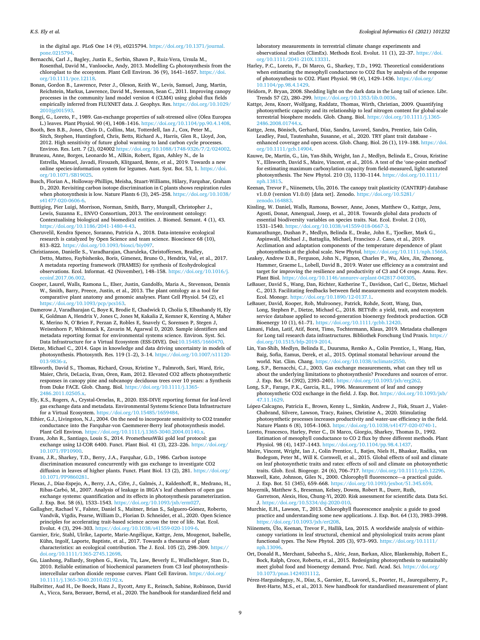<span id="page-8-0"></span>*K.S. Ely et al.* 

in the digital age. PLoS One 14 (9), e0215794. [https://doi.org/10.1371/journal.](https://doi.org/10.1371/journal.pone.0215794) pone.02157

Bernacchi, Carl J., Bagley, Justin E., Serbin, Shawn P., Ruiz-Vera, Ursula M., Rosenthal, David M., Vanloocke, Andy, 2013. Modelling C<sub>3</sub> photosynthesis from the chloroplast to the ecosystem. Plant Cell Environ. 36 (9), 1641–1657. [https://doi.](https://doi.org/10.1111/pce.12118)  [org/10.1111/pce.12118.](https://doi.org/10.1111/pce.12118)

Bonan, Gordon B., Lawrence, Peter J., Oleson, Keith W., Levis, Samuel, Jung, Martin, Reichstein, Markus, Lawrence, David M., Swenson, Sean C., 2011. Improving canopy processes in the community land model version 4 (CLM4) using global flux fields empirically inferred from FLUXNET data. J. Geophys. Res. https://doi.org/10.1029/ [2010jg001593.](https://doi.org/10.1029/2010jg001593)

Bongi, G., Loreto, F., 1989. Gas-exchange properties of salt-stressed olive (Olea Europea L.) leaves. Plant Physiol. 90 (4), 1408–1416. [https://doi.org/10.1104/pp.90.4.1408.](https://doi.org/10.1104/pp.90.4.1408)

Booth, Ben B.B., Jones, Chris D., Collins, Mat, Totterdell, Ian J., Cox, Peter M., Sitch, Stephen, Huntingford, Chris, Betts, Richard A., Harris, Glen R., Lloyd, Jon, 2012. High sensitivity of future global warming to land carbon cycle processes. Environ. Res. Lett. 7 (2), 024002 [https://doi.org/10.1088/1748-9326/7/2/024002.](https://doi.org/10.1088/1748-9326/7/2/024002)

Bruneau, Anne, Borges, Leonardo M., Allkin, Robert, Egan, Ashley N., de la Estrella, Manuel, Javadi, Firouzeh, Klitgaard, Bente, et al., 2019. Towards a new online species-information system for legumes. Aust. Syst. Bot. 53, 1. [https://doi.](https://doi.org/10.1071/SB19025)  [org/10.1071/SB19025.](https://doi.org/10.1071/SB19025)

Busch, Florian A., Holloway-Phillips, Meisha, Stuart-Williams, Hilary, Farquhar, Graham D., 2020. Revisiting carbon isotope discrimination in C plants shows respiration rules when photosynthesis is low. Nature Plants 6 (3), 245–258. [https://doi.org/10.1038/](https://doi.org/10.1038/s41477-020-0606-6)  [s41477-020-0606-6.](https://doi.org/10.1038/s41477-020-0606-6)

Buttigieg, Pier Luigi, Morrison, Norman, Smith, Barry, Mungall, Christopher J., Lewis, Suzanna E., ENVO Consortium, 2013. The environment ontology: Contextualising biological and biomedical entities. J. Biomed. Semant. 4 (1), 43. [https://doi.org/10.1186/2041-1480-4-43.](https://doi.org/10.1186/2041-1480-4-43)

Cheruvelil, Kendra Spence, Soranno, Patricia A., 2018. Data-intensive ecological research is catalyzed by Open Science and team science. Bioscience 68 (10), 813–822. <https://doi.org/10.1093/biosci/biy097>.

Christianson, Danielle S., Varadharajan, Charuleka, Christoffersen, Bradley, Detto, Matteo, Faybishenko, Boris, Gimenez, Bruno O., Hendrix, Val, et al., 2017. A metadata reporting framework (FRAMES) for synthesis of Ecohydrological observations. Ecol. Informat. 42 (November), 148–158. [https://doi.org/10.1016/j.](https://doi.org/10.1016/j.ecoinf.2017.06.002)  [ecoinf.2017.06.002](https://doi.org/10.1016/j.ecoinf.2017.06.002).

Cooper, Laurel, Walls, Ramona L., Elser, Justin, Gandolfo, Maria A., Stevenson, Dennis W., Smith, Barry, Preece, Justin, et al., 2013. The plant ontology as a tool for comparative plant anatomy and genomic analyses. Plant Cell Physiol. 54 (2), e1 <https://doi.org/10.1093/pcp/pcs163>.

Damerow J, Varadharajan C, Boye K, Brodie E, Chadwick D, Cholia S, Elbashandy H, Ely K, Goldman A, Hendrix V, Jones C, Jones M, Kakalia Z, Kemner K, Kersting A, Maher K, Merino N, O'Brien F, Perzan Z, Robles E, Snavely C, Sorensen P, Stegen J, Weisenhorn P, Whitenack K, Zavarin M, Agarwal D, 2020. Sample identifiers and metadata reporting format for environmental systems science. Environ. Syst. Sci. Data Infrastructure for a Virtual Ecosystem (ESS-DIVE)*.* Doi:[10.15485/1660470.](https://doi.org/10.15485/1660470)

Dietze, Michael C., 2014. Gaps in knowledge and data driving uncertainty in models of photosynthesis. Photosynth. Res. 119 (1–2), 3–14. [https://doi.org/10.1007/s11120-](https://doi.org/10.1007/s11120-013-9836-z)  [013-9836-z.](https://doi.org/10.1007/s11120-013-9836-z)

Ellsworth, David S., Thomas, Richard, Crous, Kristine Y., Palmroth, Sari, Ward, Eric, Maier, Chris, DeLucia, Evan, Oren, Ram, 2012. Elevated CO2 affects photosynthetic responses in canopy pine and subcanopy deciduous trees over 10 years: a Synthesis from Duke FACE. Glob. Chang. Biol. [https://doi.org/10.1111/j.1365-](https://doi.org/10.1111/j.1365-2486.2011.02505.x) [2486.2011.02505.x.](https://doi.org/10.1111/j.1365-2486.2011.02505.x)

Ely, K.S., Rogers, A., Crystal-Ornelas, R., 2020. ESS-DIVE reporting format for leaf-level gas exchange data and metadata. Environmental Systems Science Data Infrastructure for a Virtual Ecosystem. [https://doi.org/10.15485/1659484.](https://doi.org/10.15485/1659484)

Ethier, G.J., Livingston, N.J., 2004. On the need to incorporate sensitivity to CO2 transfer conductance into the Farquhar-von Caemmerer-Berry leaf photosynthesis model. Plant Cell Environ. [https://doi.org/10.1111/j.1365-3040.2004.01140.x.](https://doi.org/10.1111/j.1365-3040.2004.01140.x)

Evans, John R., Santiago, Louis S., 2014. PrometheusWiki gold leaf protocol: gas exchange using LI-COR 6400. Funct. Plant Biol. 41 (3), 223–226. [https://doi.org/](https://doi.org/10.1071/FP10900) [10.1071/FP10900](https://doi.org/10.1071/FP10900).

Evans, J.R., Sharkey, T.D., Berry, J.A., Farquhar, G.D., 1986. Carbon isotope discrimination measured concurrently with gas exchange to investigate CO2 diffusion in leaves of higher plants. Funct. Plant Biol. 13 (2), 281. [https://doi.org/](https://doi.org/10.1071/PP9860281)  [10.1071/PP9860281.](https://doi.org/10.1071/PP9860281)

Flexas, J., Díaz-Espejo, A., Berry, J.A., Cifre, J., Galmés, J., Kaldenhoff, R., Medrano, H., Ribas-Carbó, M., 2007. Analysis of leakage in IRGA's leaf chambers of open gas exchange systems: quantification and its effects in photosynthesis parameterization. J. Exp. Bot. 58 (6), 1533–1543. <https://doi.org/10.1093/jxb/erm027>.

Gallagher, Rachael V., Falster, Daniel S., Maitner, Brian S., Salguero-Gómez, Roberto, Vandvik, Vigdis, Pearse, William D., Florian D. Schneider, et al., 2020. Open Science principles for accelerating trait-based science across the tree of life. Nat. Ecol. Evolut. 4 (3), 294–303.<https://doi.org/10.1038/s41559-020-1109-6>.

Garnier, Eric, Stahl, Ulrike, Laporte, Marie-Angélique, Kattge, Jens, Mougenot, Isabelle, Kühn, Ingolf, Laporte, Baptiste, et al., 2017. Towards a thesaurus of plant characteristics: an ecological contribution. The J. Ecol. 105 (2), 298–309. [https://](https://doi.org/10.1111/1365-2745.12698)  [doi.org/10.1111/1365-2745.12698.](https://doi.org/10.1111/1365-2745.12698)

Gu, Lianhong, Pallardy, Stephen G., Kevin, Tu, Law, Beverly E., Wullschleger, Stan D., 2010. Reliable estimation of biochemical parameters from C3 leaf photosynthesisintercellular carbon dioxide response curves. Plant Cell Environ. [https://doi.org/](https://doi.org/10.1111/j.1365-3040.2010.02192.x)  [10.1111/j.1365-3040.2010.02192.x](https://doi.org/10.1111/j.1365-3040.2010.02192.x).

Halbritter, Aud H., De Boeck, Hans J., Eycott, Amy E., Reinsch, Sabine, Robinson, David A., Vicca, Sara, Berauer, Bernd, et al., 2020. The handbook for standardized field and laboratory measurements in terrestrial climate change experiments and observational studies (ClimEx). Methods Ecol. Evolut. 11 (1), 22–37. [https://doi.](https://doi.org/10.1111/2041-210X.13331)  [org/10.1111/2041-210X.13331](https://doi.org/10.1111/2041-210X.13331).

Harley, P.C., Loreto, F., Di Marco, G., Sharkey, T.D., 1992. Theoretical considerations when estimating the mesophyll conductance to CO2 flux by analysis of the response of photosynthesis to CO2. Plant Physiol. 98 (4), 1429–1436. [https://doi.org/](https://doi.org/10.1104/pp.98.4.1429) 10.1104/pp.98.4.142

Heidorn, P. Bryan, 2008. Shedding light on the dark data in the Long tail of science. Libr. Trends 57 (2), 280–299. [https://doi.org/10.1353/lib.0.0036.](https://doi.org/10.1353/lib.0.0036)

Kattge, Jens, Knorr, Wolfgang, Raddatz, Thomas, Wirth, Christian, 2009. Quantifying photosynthetic capacity and its relationship to leaf nitrogen content for global-scale terrestrial biosphere models. Glob. Chang. Biol. [https://doi.org/10.1111/j.1365-](https://doi.org/10.1111/j.1365-2486.2008.01744.x)  [2486.2008.01744.x.](https://doi.org/10.1111/j.1365-2486.2008.01744.x)

Kattge, Jens, Bönisch, Gerhard, Díaz, Sandra, Lavorel, Sandra, Prentice, Iain Colin, Leadley, Paul, Tautenhahn, Susanne, et al., 2020. TRY plant trait database enhanced coverage and open access. Glob. Chang. Biol. 26 (1), 119–188. [https://doi.](https://doi.org/10.1111/gcb.14904)  [org/10.1111/gcb.14904](https://doi.org/10.1111/gcb.14904).

Kauwe, De, Martin, G., Lin, Yan-Shih, Wright, Ian J., Medlyn, Belinda E., Crous, Kristine Y., Ellsworth, David S., Maire, Vincent, et al., 2016. A test of the 'one-point method' for estimating maximum carboxylation capacity from field-measured, light-saturated photosynthesis. The New Phytol. 210 (3), 1130–1144. [https://doi.org/10.1111/](https://doi.org/10.1111/nph.13815)  [nph.13815](https://doi.org/10.1111/nph.13815).

Keenan, Trevor F., Niinemets, Ulo, 2016. The canopy trait plasticity (CANTRIP) database v1.0.0 (version V1.0.0) [data set]. Zenodo. [https://doi.org/10.5281/](https://doi.org/10.5281/zenodo.164883)  [zenodo.164883](https://doi.org/10.5281/zenodo.164883).

Kissling, W. Daniel, Walls, Ramona, Bowser, Anne, Jones, Matthew O., Kattge, Jens, Agosti, Donat, Amengual, Josep, et al., 2018. Towards global data products of essential biodiversity variables on species traits. Nat. Ecol. Evolut. 2 (10), 1531–1540.<https://doi.org/10.1038/s41559-018-0667-3>.

Kumarathunge, Dushan P., Medlyn, Belinda E., Drake, John E., Tjoelker, Mark G., Aspinwall, Michael J., Battaglia, Michael, Francisco J. Cano, et al., 2019. Acclimation and adaptation components of the temperature dependence of plant photosynthesis at the global scale. New Phytol. [https://doi.org/10.1111/nph.15668.](https://doi.org/10.1111/nph.15668)

Leakey, Andrew D.B., Ferguson, John N., Pignon, Charles P., Wu, Alex, Jin, Zhenong, Hammer, Graeme L., Lobell, David B., 2019. Water use efficiency as a constraint and target for improving the resilience and productivity of C3 and C4 crops. Annu. Rev. Plant Biol. https://doi.org/10.1146/annurev-arplant-042817-04030.

LeBauer, David S., Wang, Dan, Richter, Katherine T., Davidson, Carl C., Dietze, Michael C., 2013. Facilitating feedbacks between field measurements and ecosystem models. Ecol. Monogr.<https://doi.org/10.1890/12-0137.1>.

LeBauer, David, Kooper, Rob, Mulrooney, Patrick, Rohde, Scott, Wang, Dan, Long, Stephen P., Dietze, Michael C., 2018. BETYdb: a yield, trait, and ecosystem service database applied to second-generation bioenergy feedstock production. GCB Bioenergy 10 (1), 61–71. <https://doi.org/10.1111/gcbb.12420>.

Limani, Fidan, Latif, Atif, Borst, Timo, Tochtermann, Klaus, 2019. Metadata challenges for Long tail research data infrastructures. Bibliothek Forschung Und Praxis. [https://](https://doi.org/10.1515/bfp-2019-2014)  [doi.org/10.1515/bfp-2019-2014](https://doi.org/10.1515/bfp-2019-2014).

Lin, Yan-Shih, Medlyn, Belinda E., Duursma, Remko A., Colin Prentice, I., Wang, Han, Baig, Sofia, Eamus, Derek, et al., 2015. Optimal stomatal behaviour around the world. Nat. Clim. Chang. <https://doi.org/10.1038/nclimate2550>.

Long, S.P., Bernacchi, C.J., 2003. Gas exchange measurements, what can they tell us about the underlying limitations to photosynthesis? Procedures and sources of error. J. Exp. Bot. 54 (392), 2393–2401. <https://doi.org/10.1093/jxb/erg262>.

Long, S.P., Farage, P.K., Garcia, R.L., 1996. Measurement of leaf and canopy photosynthetic CO2 exchange in the field. J. Exp. Bot. [https://doi.org/10.1093/jxb/](https://doi.org/10.1093/jxb/47.11.1629)  [47.11.1629.](https://doi.org/10.1093/jxb/47.11.1629)

López-Calcagno, Patricia E., Brown, Kenny L., Simkin, Andrew J., Fisk, Stuart J., Vialet-Chabrand, Silvere, Lawson, Tracy, Raines, Christine A., 2020. Stimulating photosynthetic processes increases productivity and water-use efficiency in the field. Nature Plants 6 (8), 1054-1063. https://doi.org/10.1038/s41477-020-0740-

Loreto, Francesco, Harley, Peter C., Di Marco, Giorgio, Sharkey, Thomas D., 1992. Estimation of mesophyll conductance to CO 2 flux by three different methods. Plant Physiol. 98 (4), 1437–1443. [https://doi.org/10.1104/pp.98.4.1437.](https://doi.org/10.1104/pp.98.4.1437)

Maire, Vincent, Wright, Ian J., Colin Prentice, I., Batjes, Niels H., Bhaskar, Radika, van Bodegom, Peter M., Will K. Cornwell, et al., 2015. Global effects of soil and climate on leaf photosynthetic traits and rates: effects of soil and climate on photosynthetic traits. Glob. Ecol. Biogeogr. 24 (6), 706–717. [https://doi.org/10.1111/geb.12296.](https://doi.org/10.1111/geb.12296)

Maxwell, Kate, Johnson, Giles N., 2000. Chlorophyll fluorescence—a practical guide.

J. Exp. Bot. 51 (345), 659–668. <https://doi.org/10.1093/jexbot/51.345.659>. Mayernik, Matthew S., Breseman, Kelsey, Downs, Robert R., Duerr, Ruth, Garretson, Alexis, Hou, Chung-Yi, 2020. Risk assessment for scientific data. Data Sci.

J. [https://doi.org/10.5334/dsj-2020-010.](https://doi.org/10.5334/dsj-2020-010) Murchie, E.H., Lawson, T., 2013. Chlorophyll fluorescence analysis: a guide to good

practice and understanding some new applications. J. Exp. Bot. 64 (13), 3983–3998. [https://doi.org/10.1093/jxb/ert208.](https://doi.org/10.1093/jxb/ert208)

Niinemets, Ülo, Keenan, Trevor F., Hallik, Lea, 2015. A worldwide analysis of withincanopy variations in leaf structural, chemical and physiological traits across plant functional types. The New Phytol. 205 (3), 973–993. [https://doi.org/10.1111/](https://doi.org/10.1111/nph.13096) nph.1309

Ort, Donald R., Merchant, Sabeeha S., Alric, Jean, Barkan, Alice, Blankenship, Robert E., Bock, Ralph, Croce, Roberta, et al., 2015. Redesigning photosynthesis to sustainably meet global food and bioenergy demand. Proc. Natl. Acad. Sci. [https://doi.org/](https://doi.org/10.1073/pnas.1424031112)  [10.1073/pnas.1424031112.](https://doi.org/10.1073/pnas.1424031112)

Pérez-Harguindeguy, N., Díaz, S., Garnier, E., Lavorel, S., Poorter, H., Jaureguiberry, P., Bret-Harte, M.S., et al., 2013. New handbook for standardised measurement of plant